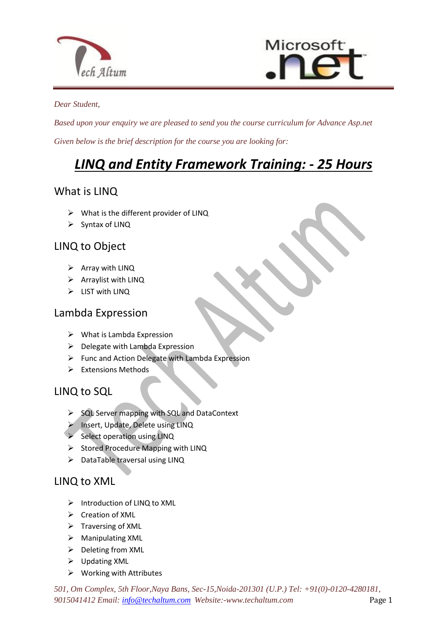



#### *Dear Student,*

*Based upon your enquiry we are pleased to send you the course curriculum for Advance Asp.net Given below is the brief description for the course you are looking for:*

# *LINQ and Entity Framework Training: - 25 Hours*

## What is LINQ

 $\triangleright$  What is the different provider of LINQ

 $\overline{a}$ 

 $\triangleright$  Syntax of LINQ

## LINQ to Object

- $\triangleright$  Array with LINQ
- $\triangleright$  Arraylist with LINQ
- $\triangleright$  LIST with LINQ

## Lambda Expression

- $\triangleright$  What is Lambda Expression
- $\triangleright$  Delegate with Lambda Expression
- $\triangleright$  Func and Action Delegate with Lambda Expression
- $\triangleright$  Extensions Methods

## LINQ to SQL

- $\triangleright$  SQL Server mapping with SQL and DataContext
- Insert, Update, Delete using LINQ
- $\triangleright$  Select operation using LINQ
- $\triangleright$  Stored Procedure Mapping with LINQ
- $\triangleright$  DataTable traversal using LINQ

#### LINQ to XML

- $\triangleright$  Introduction of LINQ to XML
- $\triangleright$  Creation of XML
- $\triangleright$  Traversing of XML
- Manipulating XML
- $\triangleright$  Deleting from XML
- Updating XML
- $\triangleright$  Working with Attributes

*501, Om Complex, 5th Floor,Naya Bans, Sec-15,Noida-201301 (U.P.) Tel: +91(0)-0120-4280181, 9015041412 Email: [info@techaltum.com](mailto:info@techaltum.com) Website:-www.techaltum.com* Page 1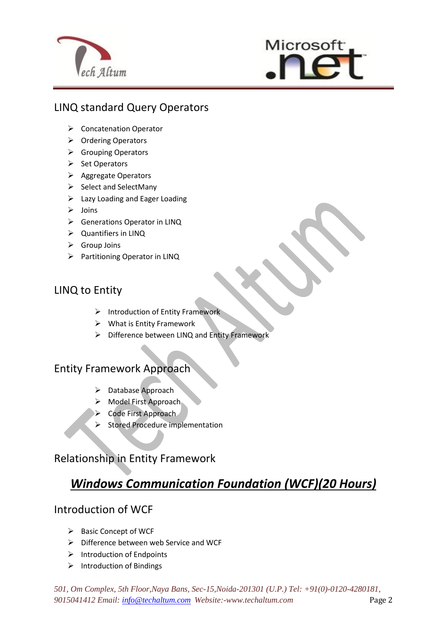



## LINQ standard Query Operators

 $\overline{a}$ 

- ▶ Concatenation Operator
- ▶ Ordering Operators
- ▶ Grouping Operators
- $\triangleright$  Set Operators
- ▶ Aggregate Operators
- $\triangleright$  Select and SelectMany
- $\triangleright$  Lazy Loading and Eager Loading
- $\triangleright$  Joins
- Generations Operator in LINQ
- Quantifiers in LINQ
- $\triangleright$  Group Joins
- Partitioning Operator in LINQ

## LINQ to Entity

- $\triangleright$  Introduction of Entity Framework
- $\triangleright$  What is Entity Framework
- $\triangleright$  Difference between LINQ and Entity Framework

#### Entity Framework Approach

- > Database Approach
- > Model First Approach
- $\triangleright$  Code First Approach
- $\triangleright$  Stored Procedure implementation

## Relationship in Entity Framework

## *Windows Communication Foundation (WCF)(20 Hours)*

#### Introduction of WCF

- $\triangleright$  Basic Concept of WCF
- $\triangleright$  Difference between web Service and WCF
- $\triangleright$  Introduction of Endpoints
- $\triangleright$  Introduction of Bindings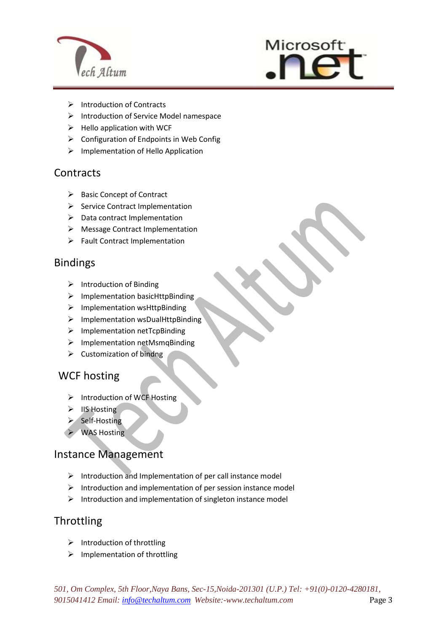



- $\triangleright$  Introduction of Contracts
- $\triangleright$  Introduction of Service Model namespace
- $\triangleright$  Hello application with WCF
- $\triangleright$  Configuration of Endpoints in Web Config
- $\triangleright$  Implementation of Hello Application

 $\overline{a}$ 

#### **Contracts**

- $\triangleright$  Basic Concept of Contract
- $\triangleright$  Service Contract Implementation
- $\triangleright$  Data contract Implementation
- > Message Contract Implementation
- $\triangleright$  Fault Contract Implementation

#### Bindings

- $\triangleright$  Introduction of Binding
- $\triangleright$  Implementation basicHttpBinding
- > Implementation wsHttpBinding
- $\triangleright$  Implementation wsDualHttpBinding
- $\triangleright$  Implementation netTcpBinding
- $\triangleright$  Implementation netMsmqBinding
- $\triangleright$  Customization of bindng

## WCF hosting

- $\triangleright$  Introduction of WCF Hosting
- $\triangleright$  IIS Hosting
- $\triangleright$  Self-Hosting
- $\triangleright$  WAS Hosting

## Instance Management

- $\triangleright$  Introduction and Implementation of per call instance model
- $\triangleright$  Introduction and implementation of per session instance model
- $\triangleright$  Introduction and implementation of singleton instance model

## **Throttling**

- $\triangleright$  Introduction of throttling
- $\triangleright$  Implementation of throttling